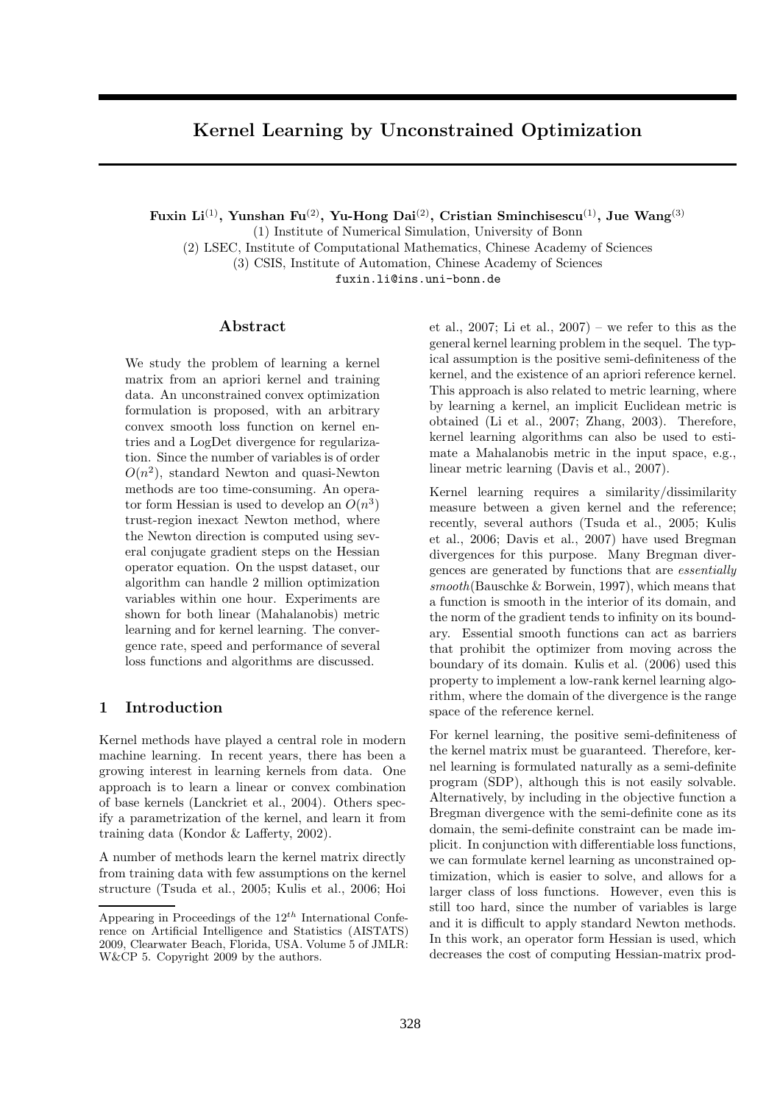# Kernel Learning by Unconstrained Optimization

Fuxin Li<sup>(1)</sup>, Yunshan Fu<sup>(2)</sup>, Yu-Hong Dai<sup>(2)</sup>, Cristian Sminchisescu<sup>(1)</sup>, Jue Wang<sup>(3)</sup>

(1) Institute of Numerical Simulation, University of Bonn

(2) LSEC, Institute of Computational Mathematics, Chinese Academy of Sciences

(3) CSIS, Institute of Automation, Chinese Academy of Sciences

fuxin.li@ins.uni-bonn.de

# Abstract

We study the problem of learning a kernel matrix from an apriori kernel and training data. An unconstrained convex optimization formulation is proposed, with an arbitrary convex smooth loss function on kernel entries and a LogDet divergence for regularization. Since the number of variables is of order  $O(n^2)$ , standard Newton and quasi-Newton methods are too time-consuming. An operator form Hessian is used to develop an  $O(n^3)$ trust-region inexact Newton method, where the Newton direction is computed using several conjugate gradient steps on the Hessian operator equation. On the uspst dataset, our algorithm can handle 2 million optimization variables within one hour. Experiments are shown for both linear (Mahalanobis) metric learning and for kernel learning. The convergence rate, speed and performance of several loss functions and algorithms are discussed.

# 1 Introduction

Kernel methods have played a central role in modern machine learning. In recent years, there has been a growing interest in learning kernels from data. One approach is to learn a linear or convex combination of base kernels (Lanckriet et al., 2004). Others specify a parametrization of the kernel, and learn it from training data (Kondor & Lafferty, 2002).

A number of methods learn the kernel matrix directly from training data with few assumptions on the kernel structure (Tsuda et al., 2005; Kulis et al., 2006; Hoi et al., 2007; Li et al.,  $2007$  – we refer to this as the general kernel learning problem in the sequel. The typical assumption is the positive semi-definiteness of the kernel, and the existence of an apriori reference kernel. This approach is also related to metric learning, where by learning a kernel, an implicit Euclidean metric is obtained (Li et al., 2007; Zhang, 2003). Therefore, kernel learning algorithms can also be used to estimate a Mahalanobis metric in the input space, e.g., linear metric learning (Davis et al., 2007).

Kernel learning requires a similarity/dissimilarity measure between a given kernel and the reference; recently, several authors (Tsuda et al., 2005; Kulis et al., 2006; Davis et al., 2007) have used Bregman divergences for this purpose. Many Bregman divergences are generated by functions that are essentially smooth(Bauschke & Borwein, 1997), which means that a function is smooth in the interior of its domain, and the norm of the gradient tends to infinity on its boundary. Essential smooth functions can act as barriers that prohibit the optimizer from moving across the boundary of its domain. Kulis et al. (2006) used this property to implement a low-rank kernel learning algorithm, where the domain of the divergence is the range space of the reference kernel.

For kernel learning, the positive semi-definiteness of the kernel matrix must be guaranteed. Therefore, kernel learning is formulated naturally as a semi-definite program (SDP), although this is not easily solvable. Alternatively, by including in the objective function a Bregman divergence with the semi-definite cone as its domain, the semi-definite constraint can be made implicit. In conjunction with differentiable loss functions, we can formulate kernel learning as unconstrained optimization, which is easier to solve, and allows for a larger class of loss functions. However, even this is still too hard, since the number of variables is large and it is difficult to apply standard Newton methods. In this work, an operator form Hessian is used, which decreases the cost of computing Hessian-matrix prod-

Appearing in Proceedings of the  $12^{th}$  International Conference on Artificial Intelligence and Statistics (AISTATS) 2009, Clearwater Beach, Florida, USA. Volume 5 of JMLR: W&CP 5. Copyright 2009 by the authors.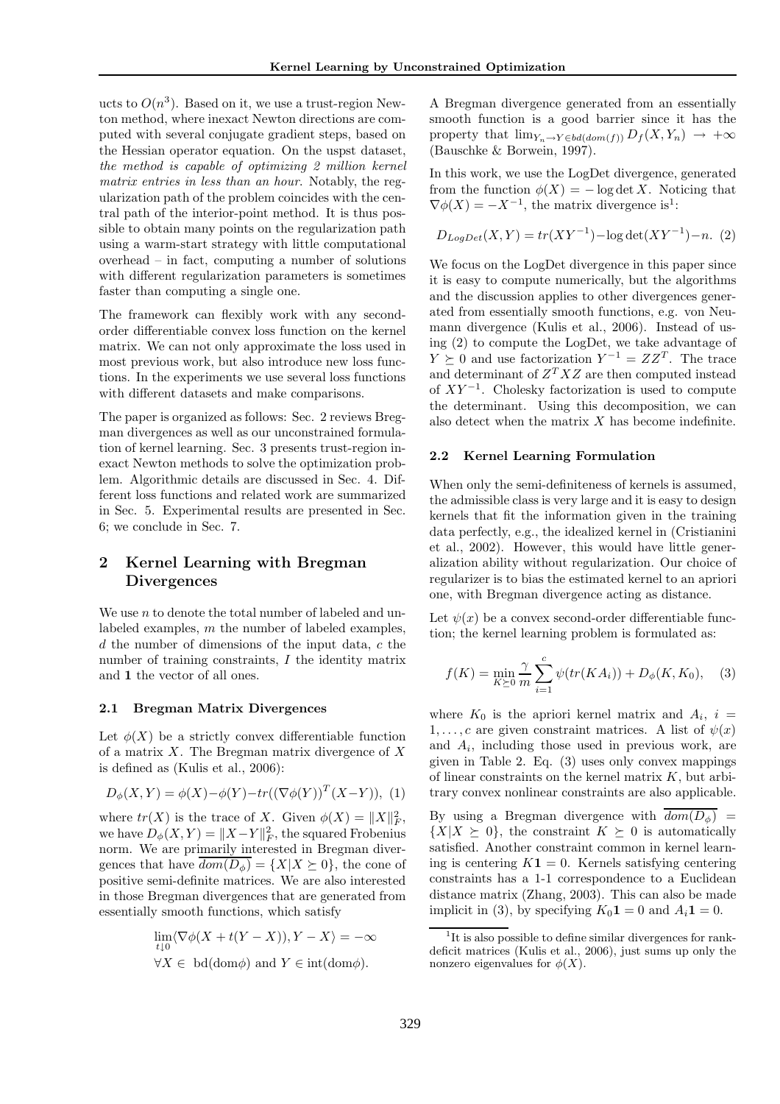ucts to  $O(n^3)$ . Based on it, we use a trust-region Newton method, where inexact Newton directions are computed with several conjugate gradient steps, based on the Hessian operator equation. On the uspst dataset, the method is capable of optimizing 2 million kernel matrix entries in less than an hour. Notably, the regularization path of the problem coincides with the central path of the interior-point method. It is thus possible to obtain many points on the regularization path using a warm-start strategy with little computational overhead – in fact, computing a number of solutions with different regularization parameters is sometimes faster than computing a single one.

The framework can flexibly work with any secondorder differentiable convex loss function on the kernel matrix. We can not only approximate the loss used in most previous work, but also introduce new loss functions. In the experiments we use several loss functions with different datasets and make comparisons.

The paper is organized as follows: Sec. 2 reviews Bregman divergences as well as our unconstrained formulation of kernel learning. Sec. 3 presents trust-region inexact Newton methods to solve the optimization problem. Algorithmic details are discussed in Sec. 4. Different loss functions and related work are summarized in Sec. 5. Experimental results are presented in Sec. 6; we conclude in Sec. 7.

# 2 Kernel Learning with Bregman **Divergences**

We use  $n$  to denote the total number of labeled and unlabeled examples, m the number of labeled examples,  $d$  the number of dimensions of the input data,  $c$  the number of training constraints, I the identity matrix and 1 the vector of all ones.

### 2.1 Bregman Matrix Divergences

Let  $\phi(X)$  be a strictly convex differentiable function of a matrix  $X$ . The Bregman matrix divergence of  $X$ is defined as (Kulis et al., 2006):

$$
D_{\phi}(X, Y) = \phi(X) - \phi(Y) - tr((\nabla \phi(Y))^T (X - Y)), (1)
$$

where  $tr(X)$  is the trace of X. Given  $\phi(X) = ||X||_F^2$ , we have  $D_{\phi}(X, Y) = ||X - Y||_F^2$ , the squared Frobenius norm. We are primarily interested in Bregman divergences that have  $\overline{dom(D_\phi)} = \{X | X \succeq 0\}$ , the cone of positive semi-definite matrices. We are also interested in those Bregman divergences that are generated from essentially smooth functions, which satisfy

$$
\lim_{t \downarrow 0} \langle \nabla \phi(X + t(Y - X)), Y - X \rangle = -\infty
$$
  

$$
\forall X \in \text{bd}(\text{dom}\phi) \text{ and } Y \in \text{int}(\text{dom}\phi).
$$

A Bregman divergence generated from an essentially smooth function is a good barrier since it has the property that  $\lim_{Y_n \to Y \in bd(dom(f))} D_f(X, Y_n) \to +\infty$ (Bauschke & Borwein, 1997).

In this work, we use the LogDet divergence, generated from the function  $\phi(X) = -\log \det X$ . Noticing that  $\nabla \phi(X) = -X^{-1}$ , the matrix divergence is<sup>1</sup>:

$$
D_{LogDet}(X,Y) = tr(XY^{-1}) - \log \det(XY^{-1}) - n. (2)
$$

We focus on the LogDet divergence in this paper since it is easy to compute numerically, but the algorithms and the discussion applies to other divergences generated from essentially smooth functions, e.g. von Neumann divergence (Kulis et al., 2006). Instead of using (2) to compute the LogDet, we take advantage of  $Y \succeq 0$  and use factorization  $Y^{-1} = ZZ^T$ . The trace and determinant of  $Z^T X Z$  are then computed instead of  $XY^{-1}$ . Cholesky factorization is used to compute the determinant. Using this decomposition, we can also detect when the matrix  $X$  has become indefinite.

### 2.2 Kernel Learning Formulation

When only the semi-definiteness of kernels is assumed, the admissible class is very large and it is easy to design kernels that fit the information given in the training data perfectly, e.g., the idealized kernel in (Cristianini et al., 2002). However, this would have little generalization ability without regularization. Our choice of regularizer is to bias the estimated kernel to an apriori one, with Bregman divergence acting as distance.

Let  $\psi(x)$  be a convex second-order differentiable function; the kernel learning problem is formulated as:

$$
f(K) = \min_{K \ge 0} \frac{\gamma}{m} \sum_{i=1}^{c} \psi(tr(KA_i)) + D_{\phi}(K, K_0), \quad (3)
$$

where  $K_0$  is the apriori kernel matrix and  $A_i$ ,  $i =$ 1, ..., c are given constraint matrices. A list of  $\psi(x)$ and  $A_i$ , including those used in previous work, are given in Table 2. Eq. (3) uses only convex mappings of linear constraints on the kernel matrix  $K$ , but arbitrary convex nonlinear constraints are also applicable.

By using a Bregman divergence with  $\overline{dom(D_{\phi})}$  =  $\{X|X \succeq 0\}$ , the constraint  $K \succeq 0$  is automatically satisfied. Another constraint common in kernel learning is centering  $K1 = 0$ . Kernels satisfying centering constraints has a 1-1 correspondence to a Euclidean distance matrix (Zhang, 2003). This can also be made implicit in (3), by specifying  $K_0 \mathbf{1} = 0$  and  $A_i \mathbf{1} = 0$ .

<sup>&</sup>lt;sup>1</sup>It is also possible to define similar divergences for rankdeficit matrices (Kulis et al., 2006), just sums up only the nonzero eigenvalues for  $\phi(X)$ .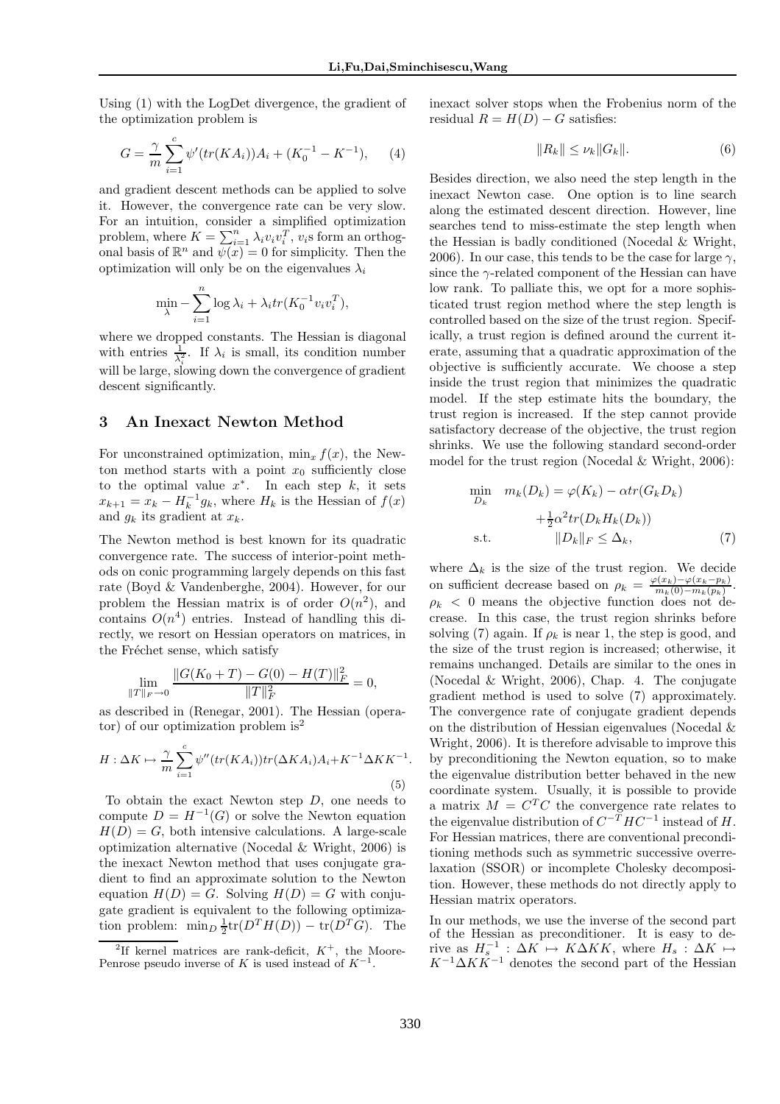Using (1) with the LogDet divergence, the gradient of the optimization problem is

$$
G = \frac{\gamma}{m} \sum_{i=1}^{c} \psi'(tr(KA_i))A_i + (K_0^{-1} - K^{-1}), \quad (4)
$$

and gradient descent methods can be applied to solve it. However, the convergence rate can be very slow. For an intuition, consider a simplified optimization problem, where  $K = \sum_{i=1}^{n} \lambda_i v_i v_i^T$ ,  $v_i$ s form an orthogonal basis of  $\mathbb{R}^n$  and  $\widetilde{\psi(x)} = 0$  for simplicity. Then the optimization will only be on the eigenvalues  $\lambda_i$ 

$$
\min_{\lambda} - \sum_{i=1}^{n} \log \lambda_i + \lambda_i tr(K_0^{-1} v_i v_i^T),
$$

where we dropped constants. The Hessian is diagonal with entries  $\frac{1}{\lambda_i^2}$ . If  $\lambda_i$  is small, its condition number will be large, slowing down the convergence of gradient descent significantly.

# 3 An Inexact Newton Method

For unconstrained optimization,  $\min_x f(x)$ , the Newton method starts with a point  $x_0$  sufficiently close to the optimal value  $x^*$ . In each step  $k$ , it sets  $x_{k+1} = x_k - H_k^{-1}g_k$ , where  $H_k$  is the Hessian of  $f(x)$ and  $g_k$  its gradient at  $x_k$ .

The Newton method is best known for its quadratic convergence rate. The success of interior-point methods on conic programming largely depends on this fast rate (Boyd & Vandenberghe, 2004). However, for our problem the Hessian matrix is of order  $O(n^2)$ , and contains  $O(n^4)$  entries. Instead of handling this directly, we resort on Hessian operators on matrices, in the Fréchet sense, which satisfy

$$
\lim_{\|T\|_F \to 0} \frac{\|G(K_0 + T) - G(0) - H(T)\|_F^2}{\|T\|_F^2} = 0,
$$

as described in (Renegar, 2001). The Hessian (operator) of our optimization problem is<sup>2</sup>

$$
H: \Delta K \mapsto \frac{\gamma}{m} \sum_{i=1}^{c} \psi''(tr(KA_i))tr(\Delta K A_i)A_i + K^{-1} \Delta K K^{-1}
$$
\n(5)

To obtain the exact Newton step D, one needs to compute  $D = H^{-1}(G)$  or solve the Newton equation  $H(D) = G$ , both intensive calculations. A large-scale optimization alternative (Nocedal & Wright, 2006) is the inexact Newton method that uses conjugate gradient to find an approximate solution to the Newton equation  $H(D) = G$ . Solving  $H(D) = G$  with conjugate gradient is equivalent to the following optimization problem:  $\min_D \frac{1}{2} \text{tr}(D^T H(D)) - \text{tr}(D^T G)$ . The

inexact solver stops when the Frobenius norm of the residual  $R = H(D) - G$  satisfies:

$$
||R_k|| \le \nu_k ||G_k||. \tag{6}
$$

Besides direction, we also need the step length in the inexact Newton case. One option is to line search along the estimated descent direction. However, line searches tend to miss-estimate the step length when the Hessian is badly conditioned (Nocedal & Wright, 2006). In our case, this tends to be the case for large  $\gamma$ , since the  $\gamma$ -related component of the Hessian can have low rank. To palliate this, we opt for a more sophisticated trust region method where the step length is controlled based on the size of the trust region. Specifically, a trust region is defined around the current iterate, assuming that a quadratic approximation of the objective is sufficiently accurate. We choose a step inside the trust region that minimizes the quadratic model. If the step estimate hits the boundary, the trust region is increased. If the step cannot provide satisfactory decrease of the objective, the trust region shrinks. We use the following standard second-order model for the trust region (Nocedal & Wright, 2006):

$$
\min_{D_k} \quad m_k(D_k) = \varphi(K_k) - \alpha tr(G_k D_k) \n+ \frac{1}{2} \alpha^2 tr(D_k H_k(D_k)) \n\text{s.t.} \quad ||D_k||_F \le \Delta_k,
$$
\n(7)

where  $\Delta_k$  is the size of the trust region. We decide on sufficient decrease based on  $\rho_k = \frac{\varphi(x_k) - \varphi(x_k - p_k)}{m_k(0) - m_k(p_k)}$  $\frac{m_k(n) - \varphi(x_k - p_k)}{m_k(0) - m_k(p_k)}.$  $\rho_k$  < 0 means the objective function does not decrease. In this case, the trust region shrinks before solving (7) again. If  $\rho_k$  is near 1, the step is good, and the size of the trust region is increased; otherwise, it remains unchanged. Details are similar to the ones in (Nocedal & Wright, 2006), Chap. 4. The conjugate gradient method is used to solve (7) approximately. The convergence rate of conjugate gradient depends on the distribution of Hessian eigenvalues (Nocedal & Wright, 2006). It is therefore advisable to improve this by preconditioning the Newton equation, so to make the eigenvalue distribution better behaved in the new coordinate system. Usually, it is possible to provide a matrix  $M = C<sup>T</sup>C$  the convergence rate relates to the eigenvalue distribution of  $C^{-T}HC^{-1}$  instead of H. For Hessian matrices, there are conventional preconditioning methods such as symmetric successive overrelaxation (SSOR) or incomplete Cholesky decomposition. However, these methods do not directly apply to Hessian matrix operators.

In our methods, we use the inverse of the second part of the Hessian as preconditioner. It is easy to derive as  $H_s^{-1}$ :  $\Delta K \mapsto K\Delta K K$ , where  $H_s : \Delta K \mapsto$  $K^{-1}\Delta K K^{-1}$  denotes the second part of the Hessian

.

<sup>&</sup>lt;sup>2</sup>If kernel matrices are rank-deficit,  $K^+$ , the Moore-Penrose pseudo inverse of K is used instead of  $K^{-1}$ .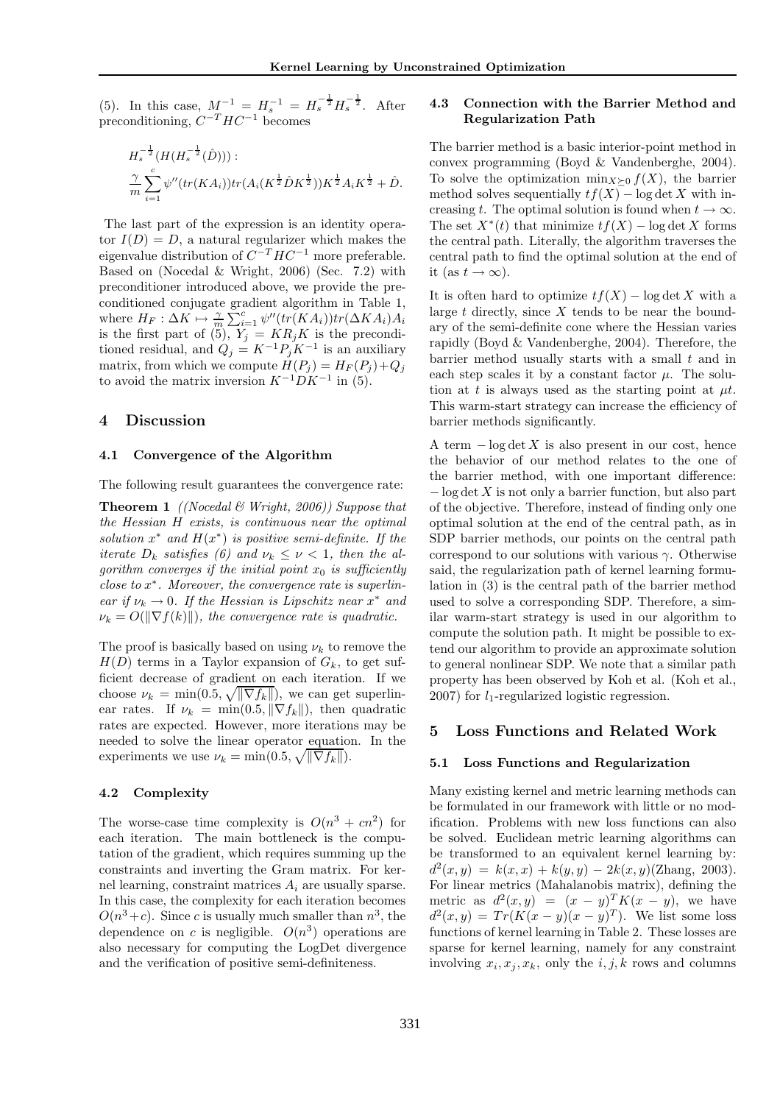(5). In this case,  $M^{-1} = H_s^{-1} = H_s^{-\frac{1}{2}} H_s^{-\frac{1}{2}}$ . After preconditioning,  $C^{-T}HC^{-1}$  becomes

$$
H_s^{-\frac{1}{2}}(H(H_s^{-\frac{1}{2}}(\hat{D}))) :
$$
  
\n
$$
\frac{\gamma}{m} \sum_{i=1}^c \psi''(tr(KA_i)) tr(A_i(K^{\frac{1}{2}}\hat{D}K^{\frac{1}{2}})) K^{\frac{1}{2}}A_i K^{\frac{1}{2}} + \hat{D}.
$$

The last part of the expression is an identity operator  $I(D) = D$ , a natural regularizer which makes the eigenvalue distribution of  $C^{-T}HC^{-1}$  more preferable. Based on (Nocedal & Wright, 2006) (Sec. 7.2) with preconditioner introduced above, we provide the preconditioned conjugate gradient algorithm in Table 1, where  $H_F: \Delta K \mapsto \frac{\gamma}{m} \sum_{i=1}^c \psi''(tr(KA_i))tr(\Delta K A_i)A_i$ is the first part of (5),  $Y_j = KR_jK$  is the preconditioned residual, and  $Q_j = K^{-1}P_jK^{-1}$  is an auxiliary matrix, from which we compute  $H(P_i) = H_F(P_i) + Q_i$ to avoid the matrix inversion  $K^{-1}DK^{-1}$  in (5).

### 4 Discussion

# 4.1 Convergence of the Algorithm

The following result guarantees the convergence rate:

**Theorem 1** ((Nocedal & Wright, 2006)) Suppose that the Hessian H exists, is continuous near the optimal solution  $x^*$  and  $H(x^*)$  is positive semi-definite. If the iterate  $D_k$  satisfies (6) and  $\nu_k \leq \nu < 1$ , then the algorithm converges if the initial point  $x_0$  is sufficiently  $close\ to\ x^*$ . Moreover, the convergence rate is superlinear if  $\nu_k \to 0$ . If the Hessian is Lipschitz near  $x^*$  and  $\nu_k = O(||\nabla f(k)||)$ , the convergence rate is quadratic.

The proof is basically based on using  $\nu_k$  to remove the  $H(D)$  terms in a Taylor expansion of  $G_k$ , to get sufficient decrease of gradient on each iteration. If we choose  $\nu_k = \min(0.5, \sqrt{\|\nabla f_k\|}),$  we can get superlinear rates. If  $\nu_k = \min(0.5, ||\nabla f_k||)$ , then quadratic rates are expected. However, more iterations may be needed to solve the linear operator equation. In the experiments we use  $\nu_k = \min(0.5, \sqrt{\|\nabla f_k\|}).$ 

## 4.2 Complexity

The worse-case time complexity is  $O(n^3 + cn^2)$  for each iteration. The main bottleneck is the computation of the gradient, which requires summing up the constraints and inverting the Gram matrix. For kernel learning, constraint matrices  $A_i$  are usually sparse. In this case, the complexity for each iteration becomes  $O(n^3+c)$ . Since c is usually much smaller than  $n^3$ , the dependence on c is negligible.  $O(n^3)$  operations are also necessary for computing the LogDet divergence and the verification of positive semi-definiteness.

# 4.3 Connection with the Barrier Method and Regularization Path

The barrier method is a basic interior-point method in convex programming (Boyd & Vandenberghe, 2004). To solve the optimization min $_{X\succeq0} f(X)$ , the barrier method solves sequentially  $tf(X) - \log \det X$  with increasing t. The optimal solution is found when  $t \to \infty$ . The set  $X^*(t)$  that minimize  $tf(X)$  – log det X forms the central path. Literally, the algorithm traverses the central path to find the optimal solution at the end of it (as  $t \to \infty$ ).

It is often hard to optimize  $tf(X) - \log \det X$  with a large  $t$  directly, since  $X$  tends to be near the boundary of the semi-definite cone where the Hessian varies rapidly (Boyd & Vandenberghe, 2004). Therefore, the barrier method usually starts with a small  $t$  and in each step scales it by a constant factor  $\mu$ . The solution at t is always used as the starting point at  $\mu t$ . This warm-start strategy can increase the efficiency of barrier methods significantly.

A term  $-\log \det X$  is also present in our cost, hence the behavior of our method relates to the one of the barrier method, with one important difference:  $-\log \det X$  is not only a barrier function, but also part of the objective. Therefore, instead of finding only one optimal solution at the end of the central path, as in SDP barrier methods, our points on the central path correspond to our solutions with various  $\gamma$ . Otherwise said, the regularization path of kernel learning formulation in (3) is the central path of the barrier method used to solve a corresponding SDP. Therefore, a similar warm-start strategy is used in our algorithm to compute the solution path. It might be possible to extend our algorithm to provide an approximate solution to general nonlinear SDP. We note that a similar path property has been observed by Koh et al. (Koh et al.,  $2007$ ) for  $l_1$ -regularized logistic regression.

## 5 Loss Functions and Related Work

#### 5.1 Loss Functions and Regularization

Many existing kernel and metric learning methods can be formulated in our framework with little or no modification. Problems with new loss functions can also be solved. Euclidean metric learning algorithms can be transformed to an equivalent kernel learning by:  $d^2(x,y) = k(x,x) + k(y,y) - 2k(x,y)$ (Zhang, 2003). For linear metrics (Mahalanobis matrix), defining the metric as  $d^2(x,y) = (x - y)^T K(x - y)$ , we have  $d^2(x,y) = Tr(K(x-y)(x-y)^T)$ . We list some loss functions of kernel learning in Table 2. These losses are sparse for kernel learning, namely for any constraint involving  $x_i, x_j, x_k$ , only the  $i, j, k$  rows and columns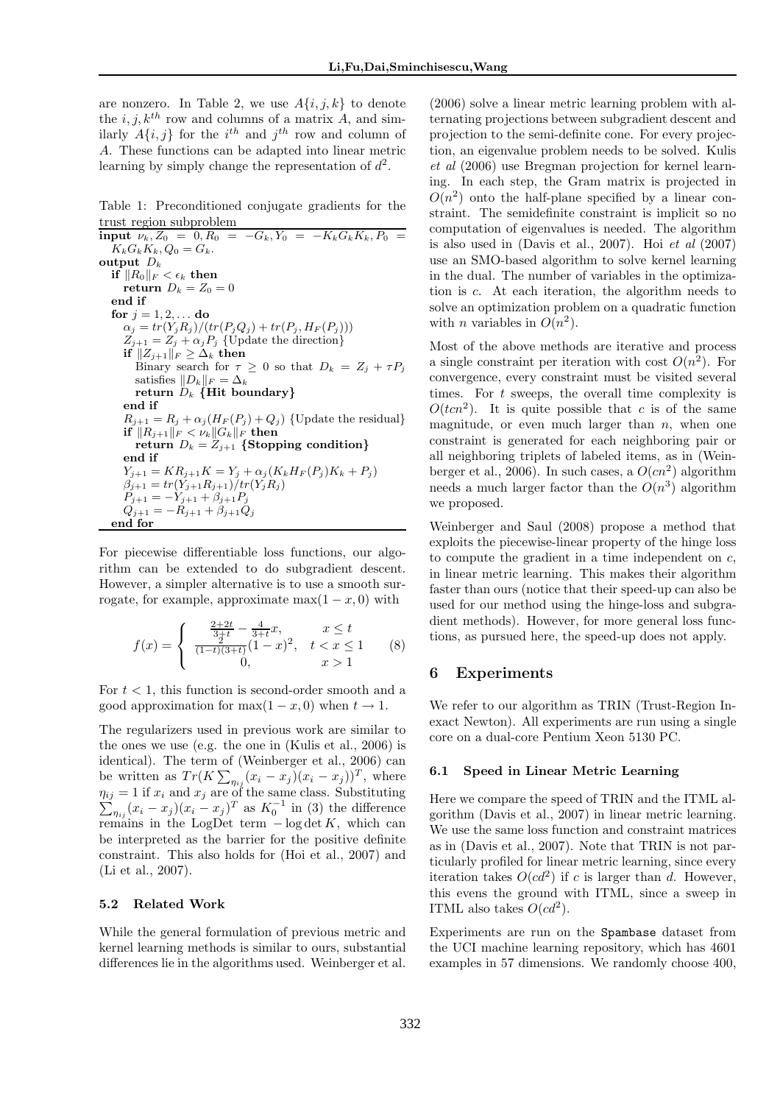are nonzero. In Table 2, we use  $A\{i, j, k\}$  to denote the i, j,  $k^{th}$  row and columns of a matrix A, and similarly  $A\{i, j\}$  for the  $i^{th}$  and  $j^{th}$  row and column of A. These functions can be adapted into linear metric learning by simply change the representation of  $d^2$ .

Table 1: Preconditioned conjugate gradients for the

trust region subproblem<br>input  $\nu_k$ ,  $Z_0 = 0$ ,  $R_0 =$  $i-G_k, Y_0 = -K_kG_kK_k, P_0 =$  $K_kG_kK_k$ ,  $Q_0 = G_k$ . output  $D_k$ if  $||R_0||_F < \epsilon_k$  then return  $D_k = Z_0 = 0$ end if for  $j = 1, 2, ...$  do  $\alpha_i = tr(Y_i R_i) / (tr(P_i Q_i) + tr(P_i, H_F(P_i)))$  $Z_{j+1} = Z_j + \alpha_j P_j$  {Update the direction} if  $||Z_{j+1}||_F \geq \Delta_k$  then Binary search for  $\tau \geq 0$  so that  $D_k = Z_i + \tau P_j$ satisfies  $||D_k||_F = \Delta_k$ return  $D_k$  {Hit boundary} end if  $R_{i+1} = R_i + \alpha_i (H_F(P_i) + Q_i)$  {Update the residual} if  $||R_{j+1}||_F < \nu_k ||G_k||_F$  then return  $D_k = Z_{j+1}$  {Stopping condition} end if  $Y_{j+1} = KR_{j+1}K = Y_j + \alpha_j (K_k H_F(P_j) K_k + P_j)$  $\beta_{j+1} = tr(Y_{j+1}R_{j+1})/tr(Y_jR_j)$  $P_{j+1} = -Y_{j+1} + \beta_{j+1}P_j$  $Q_{i+1} = -R_{i+1} + \beta_{i+1} Q_i$ end for

For piecewise differentiable loss functions, our algorithm can be extended to do subgradient descent. However, a simpler alternative is to use a smooth surrogate, for example, approximate max $(1 - x, 0)$  with

$$
f(x) = \begin{cases} \frac{\frac{2+2t}{3+t} - \frac{4}{3+t}x}{(1-t)(3+t)}(1-x)^2, & x \le t \\ 0, & x > 1 \end{cases}
$$
 (8)

For  $t < 1$ , this function is second-order smooth and a good approximation for max $(1 - x, 0)$  when  $t \to 1$ .

The regularizers used in previous work are similar to the ones we use (e.g. the one in (Kulis et al., 2006) is identical). The term of (Weinberger et al., 2006) can be written as  $Tr(K\sum_{\eta_{ij}}(x_i-x_j)(x_i-x_j))^T$ , where  $\sum$  $\eta_{ij} = 1$  if  $x_i$  and  $x_j$  are of the same class. Substituting  $\eta_{ij}(x_i-x_j)(x_i-x_j)^T$  as  $K_0^{-1}$  in (3) the difference remains in the LogDet term  $-\log \det K$ , which can be interpreted as the barrier for the positive definite constraint. This also holds for (Hoi et al., 2007) and (Li et al., 2007).

### 5.2 Related Work

While the general formulation of previous metric and kernel learning methods is similar to ours, substantial differences lie in the algorithms used. Weinberger et al. (2006) solve a linear metric learning problem with alternating projections between subgradient descent and projection to the semi-definite cone. For every projection, an eigenvalue problem needs to be solved. Kulis et al (2006) use Bregman projection for kernel learning. In each step, the Gram matrix is projected in  $O(n^2)$  onto the half-plane specified by a linear constraint. The semidefinite constraint is implicit so no computation of eigenvalues is needed. The algorithm is also used in  $(Davis et al., 2007)$ . Hoi  $et al. (2007)$ use an SMO-based algorithm to solve kernel learning in the dual. The number of variables in the optimization is c. At each iteration, the algorithm needs to solve an optimization problem on a quadratic function with *n* variables in  $O(n^2)$ .

Most of the above methods are iterative and process a single constraint per iteration with cost  $O(n^2)$ . For convergence, every constraint must be visited several times. For  $t$  sweeps, the overall time complexity is  $O(tcn^2)$ . It is quite possible that c is of the same magnitude, or even much larger than  $n$ , when one constraint is generated for each neighboring pair or all neighboring triplets of labeled items, as in (Weinberger et al., 2006). In such cases, a  $O(cn^2)$  algorithm needs a much larger factor than the  $O(n^3)$  algorithm we proposed.

Weinberger and Saul (2008) propose a method that exploits the piecewise-linear property of the hinge loss to compute the gradient in a time independent on  $c$ , in linear metric learning. This makes their algorithm faster than ours (notice that their speed-up can also be used for our method using the hinge-loss and subgradient methods). However, for more general loss functions, as pursued here, the speed-up does not apply.

# 6 Experiments

We refer to our algorithm as TRIN (Trust-Region Inexact Newton). All experiments are run using a single core on a dual-core Pentium Xeon 5130 PC.

### 6.1 Speed in Linear Metric Learning

Here we compare the speed of TRIN and the ITML algorithm (Davis et al., 2007) in linear metric learning. We use the same loss function and constraint matrices as in (Davis et al., 2007). Note that TRIN is not particularly profiled for linear metric learning, since every iteration takes  $O(cd^2)$  if c is larger than d. However, this evens the ground with ITML, since a sweep in ITML also takes  $O(cd^2)$ .

Experiments are run on the Spambase dataset from the UCI machine learning repository, which has 4601 examples in 57 dimensions. We randomly choose 400,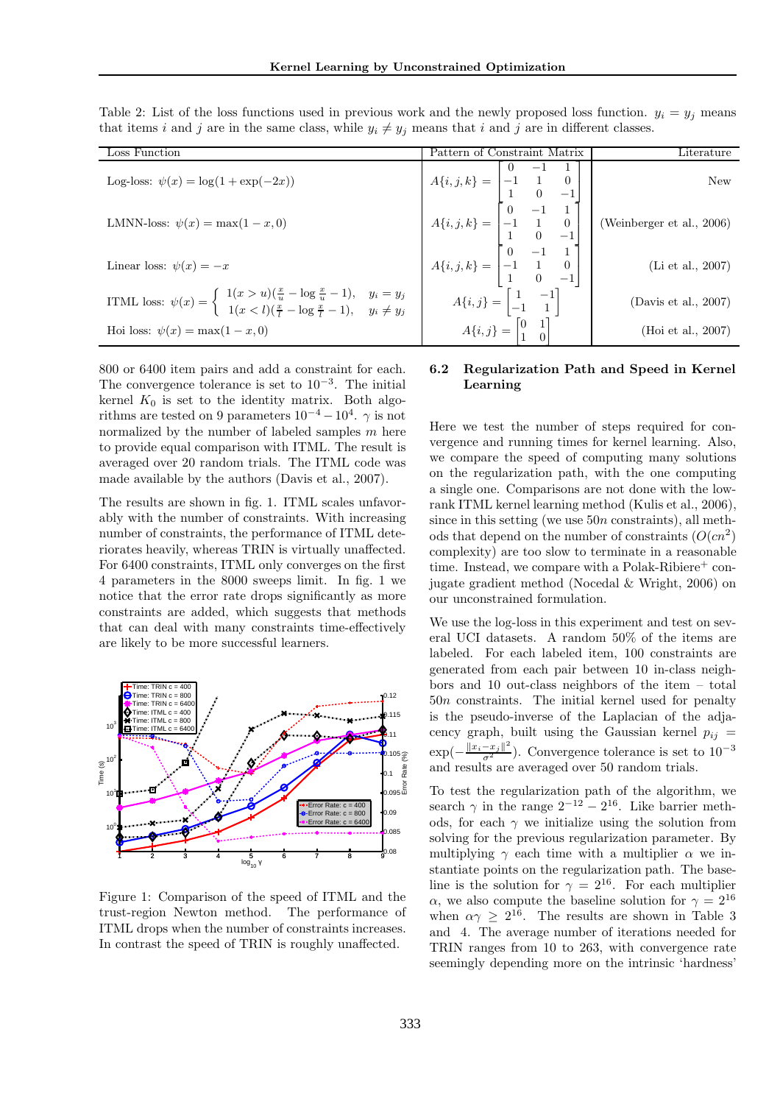| Loss Function                                                                                                                                                              | Pattern of Constraint Matrix                                                                                                                                                                                                                                                                                                           | $\rm{Literature}$       |
|----------------------------------------------------------------------------------------------------------------------------------------------------------------------------|----------------------------------------------------------------------------------------------------------------------------------------------------------------------------------------------------------------------------------------------------------------------------------------------------------------------------------------|-------------------------|
| Log-loss: $\psi(x) = \log(1 + \exp(-2x))$                                                                                                                                  |                                                                                                                                                                                                                                                                                                                                        |                         |
| LMNN-loss: $\psi(x) = \max(1-x, 0)$                                                                                                                                        | $A{i, j, k} = \begin{bmatrix} 0 & -1 & 1 \\ -1 & 1 & 0 \\ 1 & 0 & -1 \\ 0 & -1 & 1 \\ -1 & 1 & 0 \\ 1 & 0 & -1 \\ 1 & 0 & -1 \\ 0 & -1 & 1 \\ 0 & -1 & 1 \\ 1 & 0 & -1 \end{bmatrix}$ (Weinberger et al., 2006)<br>$A{i, j, k} = \begin{bmatrix} 0 & -1 & 1 \\ -1 & 1 & 0 \\ 0 & -1 & 1 \\ 1 & 0 & -1 \end{bmatrix}$ (Li et al., 2007) |                         |
| Linear loss: $\psi(x) = -x$                                                                                                                                                |                                                                                                                                                                                                                                                                                                                                        |                         |
| ITML loss: $\psi(x) = \begin{cases} 1(x > u)(\frac{x}{u} - \log \frac{x}{u} - 1), & y_i = y_j \\ 1(x < l)(\frac{x}{l} - \log \frac{x}{l} - 1), & y_i \neq y_j \end{cases}$ | $A\{i,j\} = \begin{bmatrix} 1 & -1 \\ -1 & 1 \end{bmatrix}$                                                                                                                                                                                                                                                                            | (Davis et al., $2007$ ) |
| Hoi loss: $\psi(x) = \max(1 - x, 0)$                                                                                                                                       | $A\{i,j\} = \begin{bmatrix} 0 & 1 \\ 1 & 0 \end{bmatrix}$                                                                                                                                                                                                                                                                              | (Hoi et al., 2007)      |

Table 2: List of the loss functions used in previous work and the newly proposed loss function.  $y_i = y_j$  means that items i and j are in the same class, while  $y_i \neq y_j$  means that i and j are in different classes.

800 or 6400 item pairs and add a constraint for each. The convergence tolerance is set to  $10^{-3}$ . The initial kernel  $K_0$  is set to the identity matrix. Both algorithms are tested on 9 parameters  $10^{-4} - 10^{4}$ .  $\gamma$  is not normalized by the number of labeled samples  $m$  here to provide equal comparison with ITML. The result is averaged over 20 random trials. The ITML code was made available by the authors (Davis et al., 2007).

The results are shown in fig. 1. ITML scales unfavorably with the number of constraints. With increasing number of constraints, the performance of ITML deteriorates heavily, whereas TRIN is virtually unaffected. For 6400 constraints, ITML only converges on the first 4 parameters in the 8000 sweeps limit. In fig. 1 we notice that the error rate drops significantly as more constraints are added, which suggests that methods that can deal with many constraints time-effectively are likely to be more successful learners.



Figure 1: Comparison of the speed of ITML and the trust-region Newton method. The performance of ITML drops when the number of constraints increases. In contrast the speed of TRIN is roughly unaffected.

# 6.2 Regularization Path and Speed in Kernel Learning

Here we test the number of steps required for convergence and running times for kernel learning. Also, we compare the speed of computing many solutions on the regularization path, with the one computing a single one. Comparisons are not done with the lowrank ITML kernel learning method (Kulis et al., 2006), since in this setting (we use  $50n$  constraints), all methods that depend on the number of constraints  $(O(cn^2))$ complexity) are too slow to terminate in a reasonable time. Instead, we compare with a Polak-Ribiere<sup>+</sup> conjugate gradient method (Nocedal & Wright, 2006) on our unconstrained formulation.

We use the log-loss in this experiment and test on several UCI datasets. A random 50% of the items are labeled. For each labeled item, 100 constraints are generated from each pair between 10 in-class neighbors and 10 out-class neighbors of the item – total  $50n$  constraints. The initial kernel used for penalty is the pseudo-inverse of the Laplacian of the adjacency graph, built using the Gaussian kernel  $p_{ij}$  =  $\exp(-\frac{\|x_i-x_j\|^2}{\sigma^2})$ . Convergence tolerance is set to  $10^{-3}$ and results are averaged over 50 random trials.

To test the regularization path of the algorithm, we search  $\gamma$  in the range  $2^{-12} - 2^{16}$ . Like barrier methods, for each  $\gamma$  we initialize using the solution from solving for the previous regularization parameter. By multiplying  $\gamma$  each time with a multiplier  $\alpha$  we instantiate points on the regularization path. The baseline is the solution for  $\gamma = 2^{16}$ . For each multiplier α, we also compute the baseline solution for  $\gamma = 2^{16}$ when  $\alpha \gamma \geq 2^{16}$ . The results are shown in Table 3 and 4. The average number of iterations needed for TRIN ranges from 10 to 263, with convergence rate seemingly depending more on the intrinsic 'hardness'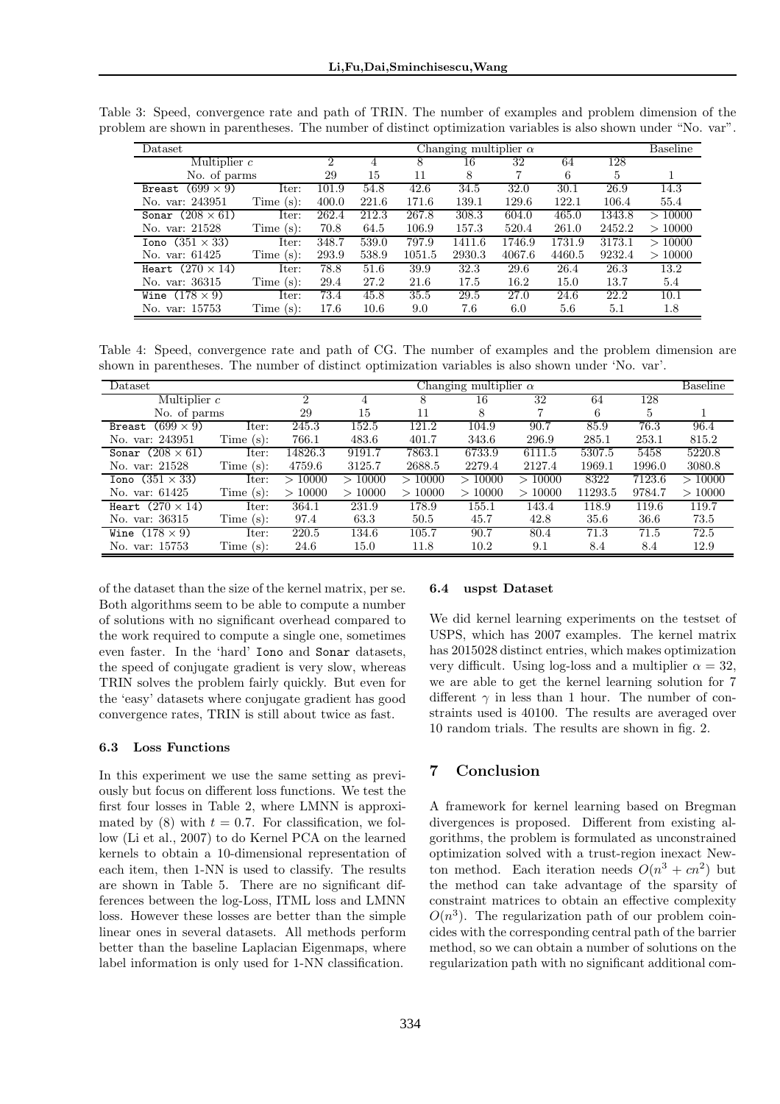| Dataset                    |              | Changing multiplier $\alpha$ |       |        |        |        | Baseline |        |        |
|----------------------------|--------------|------------------------------|-------|--------|--------|--------|----------|--------|--------|
| Multiplier $c$             |              | 2                            |       | 8      | 16     | 32     | 64       | 128    |        |
| No. of parms               |              | 29                           | 15    | 11     | 8      |        | 6        | 5      |        |
| $(699 \times 9)$<br>Breast | Iter:        | 101.9                        | 54.8  | 42.6   | 34.5   | 32.0   | 30.1     | 26.9   | 14.3   |
| No. var: 243951            | Time $(s)$ : | 400.0                        | 221.6 | 171.6  | 139.1  | 129.6  | 122.1    | 106.4  | 55.4   |
| Sonar $(208 \times 61)$    | Iter:        | 262.4                        | 212.3 | 267.8  | 308.3  | 604.0  | 465.0    | 1343.8 | >10000 |
| No. var: 21528             | Time $(s)$ : | 70.8                         | 64.5  | 106.9  | 157.3  | 520.4  | 261.0    | 2452.2 | >10000 |
| Iono $(351 \times 33)$     | Iter:        | 348.7                        | 539.0 | 797.9  | 1411.6 | 1746.9 | 1731.9   | 3173.1 | >10000 |
| No. var: 61425             | Time $(s)$ : | 293.9                        | 538.9 | 1051.5 | 2930.3 | 4067.6 | 4460.5   | 9232.4 | >10000 |
| Heart $(270 \times 14)$    | Iter:        | 78.8                         | 51.6  | 39.9   | 32.3   | 29.6   | 26.4     | 26.3   | 13.2   |
| No. var: 36315             | Time $(s)$ : | 29.4                         | 27.2  | 21.6   | 17.5   | 16.2   | 15.0     | 13.7   | 5.4    |
| Wine $(178 \times 9)$      | Iter:        | 73.4                         | 45.8  | 35.5   | 29.5   | 27.0   | 24.6     | 22.2   | 10.1   |
| No. var: 15753             | Time $(s)$ : | 17.6                         | 10.6  | 9.0    | 7.6    | 6.0    | $5.6\,$  | 5.1    | 1.8    |

Table 3: Speed, convergence rate and path of TRIN. The number of examples and problem dimension of the problem are shown in parentheses. The number of distinct optimization variables is also shown under "No. var".

Table 4: Speed, convergence rate and path of CG. The number of examples and the problem dimension are shown in parentheses. The number of distinct optimization variables is also shown under 'No. var'.

| Dataset                    |              | Changing multiplier $\alpha$ |        |        |        |        |         | Baseline |        |
|----------------------------|--------------|------------------------------|--------|--------|--------|--------|---------|----------|--------|
| Multiplier $c$             |              | 2                            |        | 8      | 16     | 32     | 64      | 128      |        |
| No. of parms               |              | 29                           | 15     | 11     | 8      | ⇁      | 6       | 5        |        |
| $(699 \times 9)$<br>Breast | Iter:        | 245.3                        | 152.5  | 121.2  | 104.9  | 90.7   | 85.9    | 76.3     | 96.4   |
| No. var: 243951            | Time $(s)$ : | 766.1                        | 483.6  | 401.7  | 343.6  | 296.9  | 285.1   | 253.1    | 815.2  |
| Sonar $(208 \times 61)$    | Iter:        | 14826.3                      | 9191.7 | 7863.1 | 6733.9 | 6111.5 | 5307.5  | 5458     | 5220.8 |
| No. var: 21528             | Time $(s)$ : | 4759.6                       | 3125.7 | 2688.5 | 2279.4 | 2127.4 | 1969.1  | 1996.0   | 3080.8 |
| Iono $(351 \times 33)$     | Iter:        | >10000                       | >10000 | >10000 | >10000 | >10000 | 8322    | 7123.6   | >10000 |
| No. var: 61425             | Time $(s)$ : | >10000                       | >10000 | >10000 | >10000 | >10000 | 11293.5 | 9784.7   | >10000 |
| Heart $(270 \times 14)$    | Iter:        | 364.1                        | 231.9  | 178.9  | 155.1  | 143.4  | 118.9   | 119.6    | 119.7  |
| No. var: 36315             | Time $(s)$ : | 97.4                         | 63.3   | 50.5   | 45.7   | 42.8   | 35.6    | 36.6     | 73.5   |
| Wine $(178 \times 9)$      | Iter:        | 220.5                        | 134.6  | 105.7  | 90.7   | 80.4   | 71.3    | 71.5     | 72.5   |
| No. var: 15753             | Time $(s)$ : | 24.6                         | 15.0   | 11.8   | 10.2   | 9.1    | 8.4     | 8.4      | 12.9   |

of the dataset than the size of the kernel matrix, per se. Both algorithms seem to be able to compute a number of solutions with no significant overhead compared to the work required to compute a single one, sometimes even faster. In the 'hard' Iono and Sonar datasets, the speed of conjugate gradient is very slow, whereas TRIN solves the problem fairly quickly. But even for the 'easy' datasets where conjugate gradient has good convergence rates, TRIN is still about twice as fast.

### 6.3 Loss Functions

In this experiment we use the same setting as previously but focus on different loss functions. We test the first four losses in Table 2, where LMNN is approximated by (8) with  $t = 0.7$ . For classification, we follow (Li et al., 2007) to do Kernel PCA on the learned kernels to obtain a 10-dimensional representation of each item, then 1-NN is used to classify. The results are shown in Table 5. There are no significant differences between the log-Loss, ITML loss and LMNN loss. However these losses are better than the simple linear ones in several datasets. All methods perform better than the baseline Laplacian Eigenmaps, where label information is only used for 1-NN classification.

#### 6.4 uspst Dataset

We did kernel learning experiments on the testset of USPS, which has 2007 examples. The kernel matrix has 2015028 distinct entries, which makes optimization very difficult. Using log-loss and a multiplier  $\alpha = 32$ , we are able to get the kernel learning solution for 7 different  $\gamma$  in less than 1 hour. The number of constraints used is 40100. The results are averaged over 10 random trials. The results are shown in fig. 2.

# 7 Conclusion

A framework for kernel learning based on Bregman divergences is proposed. Different from existing algorithms, the problem is formulated as unconstrained optimization solved with a trust-region inexact Newton method. Each iteration needs  $O(n^3 + cn^2)$  but the method can take advantage of the sparsity of constraint matrices to obtain an effective complexity  $O(n^3)$ . The regularization path of our problem coincides with the corresponding central path of the barrier method, so we can obtain a number of solutions on the regularization path with no significant additional com-